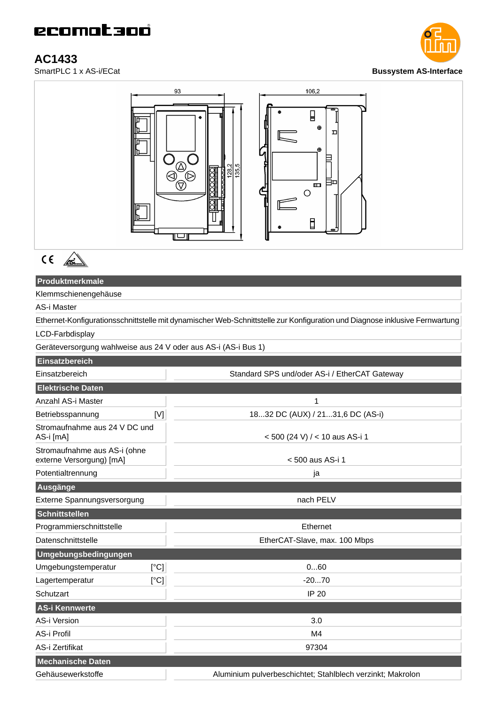AC1433<br>SmartPLC 1 x AS-i/ECat





## **Produktmerkmale**

Klemmschienengehäuse

## AS-i Master

Ethernet-Konfigurationsschnittstelle mit dynamischer Web-Schnittstelle zur Konfiguration und Diagnose inklusive Fernwartung

## LCD-Farbdisplay

Geräteversorgung wahlweise aus 24 V oder aus AS-i (AS-i Bus 1)

| Einsatzbereich                                           |                                                            |
|----------------------------------------------------------|------------------------------------------------------------|
| Einsatzbereich                                           | Standard SPS und/oder AS-i / EtherCAT Gateway              |
| <b>Elektrische Daten</b>                                 |                                                            |
| Anzahl AS-i Master                                       | 1                                                          |
| [V]<br>Betriebsspannung                                  | 1832 DC (AUX) / 2131,6 DC (AS-i)                           |
| Stromaufnahme aus 24 V DC und<br>AS-i [mA]               | < 500 (24 V) / < 10 aus AS-i 1                             |
| Stromaufnahme aus AS-i (ohne<br>externe Versorgung) [mA] | < 500 aus AS-i 1                                           |
| Potentialtrennung                                        | ja                                                         |
| Ausgänge                                                 |                                                            |
| Externe Spannungsversorgung                              | nach PELV                                                  |
| Schnittstellen                                           |                                                            |
| Programmierschnittstelle                                 | Ethernet                                                   |
| Datenschnittstelle                                       | EtherCAT-Slave, max. 100 Mbps                              |
| Umgebungsbedingungen                                     |                                                            |
| Umgebungstemperatur<br>[°C]                              | 060                                                        |
| [°C]<br>Lagertemperatur                                  | $-2070$                                                    |
| Schutzart                                                | <b>IP 20</b>                                               |
| AS-i Kennwerte                                           |                                                            |
| <b>AS-i Version</b>                                      | 3.0                                                        |
| AS-i Profil                                              | M4                                                         |
| AS-i Zertifikat                                          | 97304                                                      |
| <b>Mechanische Daten</b>                                 |                                                            |
| Gehäusewerkstoffe                                        | Aluminium pulverbeschichtet; Stahlblech verzinkt; Makrolon |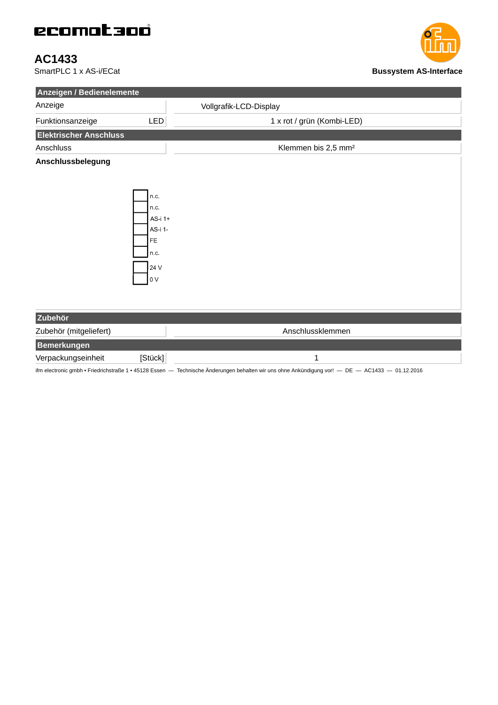## ecomataoó

AC1433<br>SmartPLC 1 x AS-i/ECat



| Anzeigen / Bedienelemente     |                                                                            |                                 |  |  |
|-------------------------------|----------------------------------------------------------------------------|---------------------------------|--|--|
| Anzeige                       |                                                                            | Vollgrafik-LCD-Display          |  |  |
| Funktionsanzeige              | LED                                                                        | 1 x rot / grün (Kombi-LED)      |  |  |
| <b>Elektrischer Anschluss</b> |                                                                            |                                 |  |  |
| Anschluss                     |                                                                            | Klemmen bis 2,5 mm <sup>2</sup> |  |  |
| Anschlussbelegung             | n.c.<br>n.c.<br>AS-i 1+<br>AS-i 1-<br>FE<br>n.c.<br>24 V<br>0 <sub>V</sub> |                                 |  |  |
| Zubehör                       |                                                                            |                                 |  |  |
| Zubehör (mitgeliefert)        |                                                                            | Anschlussklemmen                |  |  |
| <b>Bemerkungen</b>            |                                                                            |                                 |  |  |
| Verpackungseinheit            | [Stück]                                                                    | 1                               |  |  |

ifm electronic gmbh • Friedrichstraße 1 • 45128 Essen — Technische Änderungen behalten wir uns ohne Ankündigung vor! — DE — AC1433 — 01.12.2016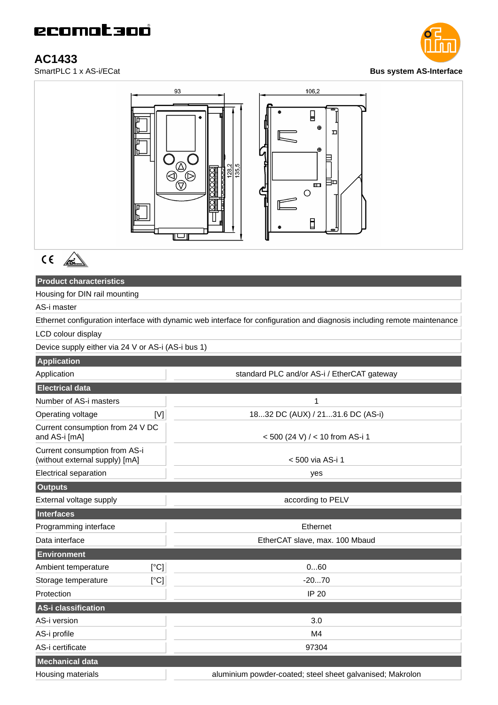AC1433<br>SmartPLC 1 x AS-i/ECat





# $C \in \mathbb{Z}$

## **Product characteristics**

Housing for DIN rail mounting

AS-i master

Ethernet configuration interface with dynamic web interface for configuration and diagnosis including remote maintenance LCD colour display

Device supply either via 24 V or AS-i (AS-i bus 1)

| <b>Application</b>                                              |                                                           |
|-----------------------------------------------------------------|-----------------------------------------------------------|
| Application                                                     | standard PLC and/or AS-i / EtherCAT gateway               |
| <b>Electrical data</b>                                          |                                                           |
| Number of AS-i masters                                          | 1                                                         |
| Operating voltage<br>[V]                                        | 1832 DC (AUX) / 2131.6 DC (AS-i)                          |
| Current consumption from 24 V DC<br>and AS-i [mA]               | <500 (24 V) / < 10 from AS-i 1                            |
| Current consumption from AS-i<br>(without external supply) [mA] | < 500 via AS-i 1                                          |
| <b>Electrical separation</b>                                    | yes                                                       |
| <b>Outputs</b>                                                  |                                                           |
| External voltage supply                                         | according to PELV                                         |
| Interfaces                                                      |                                                           |
| Programming interface                                           | Ethernet                                                  |
| Data interface                                                  | EtherCAT slave, max. 100 Mbaud                            |
| <b>Environment</b>                                              |                                                           |
| Ambient temperature<br>[°C]                                     | 060                                                       |
| [°C]<br>Storage temperature                                     | $-2070$                                                   |
| Protection                                                      | <b>IP 20</b>                                              |
| AS-i classification                                             |                                                           |
| AS-i version                                                    | 3.0                                                       |
| AS-i profile                                                    | M4                                                        |
| AS-i certificate                                                | 97304                                                     |
| <b>Mechanical data</b>                                          |                                                           |
| Housing materials                                               | aluminium powder-coated; steel sheet galvanised; Makrolon |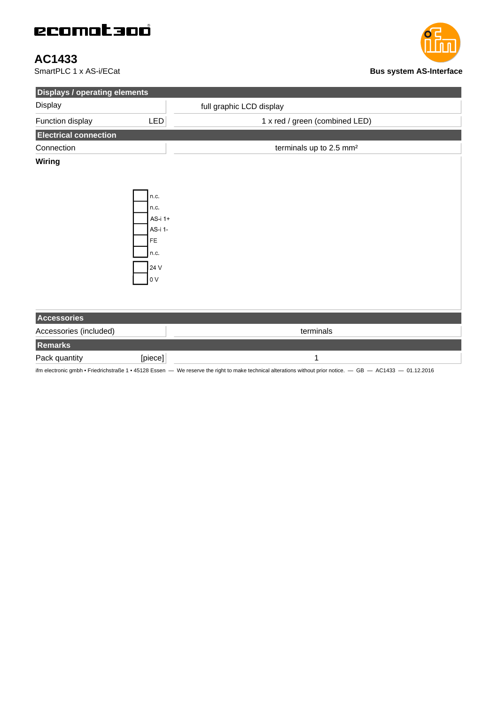# ecomataoó

AC1433<br>SmartPLC 1 x AS-i/ECat



| <b>Displays / operating elements</b> |                                                                |                                     |
|--------------------------------------|----------------------------------------------------------------|-------------------------------------|
| Display                              |                                                                | full graphic LCD display            |
| Function display                     | LED                                                            | 1 x red / green (combined LED)      |
| <b>Electrical connection</b>         |                                                                |                                     |
| Connection                           |                                                                | terminals up to 2.5 mm <sup>2</sup> |
| <b>Wiring</b>                        | n.c.<br>n.c.<br>AS-i 1+<br>AS-i 1-<br>FE<br>n.c.<br>24 V<br>0V |                                     |
| Accessories                          |                                                                |                                     |
| Accessories (included)               |                                                                | terminals                           |
| Remarks                              |                                                                |                                     |
| Pack quantity                        | [piece]                                                        | $\mathbf{1}$                        |

ifm electronic gmbh • Friedrichstraße 1 • 45128 Essen — We reserve the right to make technical alterations without prior notice. — GB — AC1433 — 01.12.2016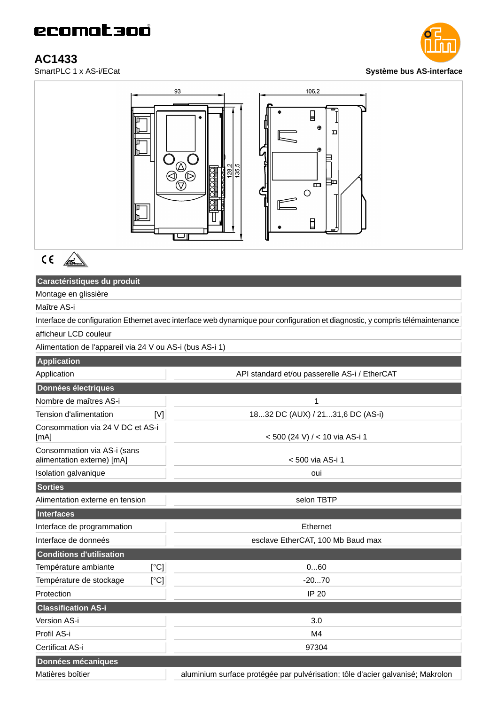AC1433<br>SmartPLC 1 x AS-i/ECat





 $C \in \mathbb{A}$ 

## **Caractéristiques du produit**

Montage en glissière

Maître AS-i

Interface de configuration Ethernet avec interface web dynamique pour configuration et diagnostic, y compris télémaintenance afficheur LCD couleur

Alimentation de l'appareil via 24 V ou AS-i (bus AS-i 1)

| <b>Application</b>                                        |                                                                                |
|-----------------------------------------------------------|--------------------------------------------------------------------------------|
| Application                                               | API standard et/ou passerelle AS-i / EtherCAT                                  |
| Données électriques                                       |                                                                                |
| Nombre de maîtres AS-i                                    | 1                                                                              |
| Tension d'alimentation<br>[V]                             | 1832 DC (AUX) / 2131,6 DC (AS-i)                                               |
| Consommation via 24 V DC et AS-i<br>[mA]                  | < 500 (24 V) / < 10 via AS-i 1                                                 |
| Consommation via AS-i (sans<br>alimentation externe) [mA] | < 500 via AS-i 1                                                               |
| Isolation galvanique                                      | oui                                                                            |
| <b>Sorties</b>                                            |                                                                                |
| Alimentation externe en tension                           | selon TBTP                                                                     |
| Interfaces                                                |                                                                                |
| Interface de programmation                                | Ethernet                                                                       |
| Interface de donneés                                      | esclave EtherCAT, 100 Mb Baud max                                              |
| <b>Conditions d'utilisation</b>                           |                                                                                |
| Température ambiante<br>[°C]                              | 060                                                                            |
| Température de stockage<br>[°C]                           | $-2070$                                                                        |
| Protection                                                | <b>IP 20</b>                                                                   |
| <b>Classification AS-i</b>                                |                                                                                |
| Version AS-i                                              | 3.0                                                                            |
| Profil AS-i                                               | M4                                                                             |
| Certificat AS-i                                           | 97304                                                                          |
| Données mécaniques                                        |                                                                                |
| Matières boîtier                                          | aluminium surface protégée par pulvérisation; tôle d'acier galvanisé; Makrolon |